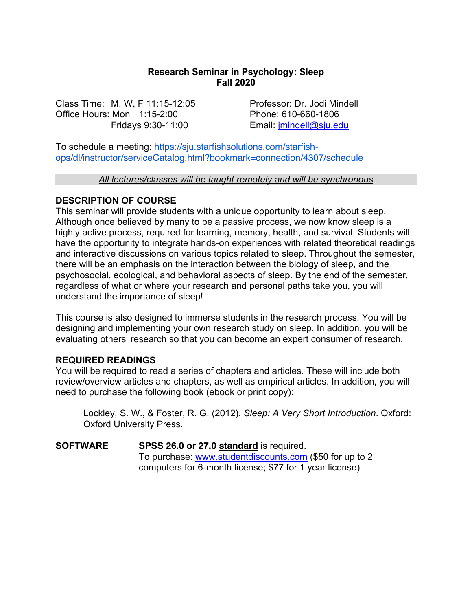### **Research Seminar in Psychology: Sleep Fall 2020**

Class Time: M, W, F 11:15-12:05 Professor: Dr. Jodi Mindell Office Hours: Mon 1:15-2:00 Phone: 610-660-1806

Fridays 9:30-11:00 Email: jmindell@sju.edu

To schedule a meeting: https://sju.starfishsolutions.com/starfishops/dl/instructor/serviceCatalog.html?bookmark=connection/4307/schedule

#### *All lectures/classes will be taught remotely and will be synchronous*

### **DESCRIPTION OF COURSE**

This seminar will provide students with a unique opportunity to learn about sleep. Although once believed by many to be a passive process, we now know sleep is a highly active process, required for learning, memory, health, and survival. Students will have the opportunity to integrate hands-on experiences with related theoretical readings and interactive discussions on various topics related to sleep. Throughout the semester, there will be an emphasis on the interaction between the biology of sleep, and the psychosocial, ecological, and behavioral aspects of sleep. By the end of the semester, regardless of what or where your research and personal paths take you, you will understand the importance of sleep!

This course is also designed to immerse students in the research process. You will be designing and implementing your own research study on sleep. In addition, you will be evaluating others' research so that you can become an expert consumer of research.

### **REQUIRED READINGS**

You will be required to read a series of chapters and articles. These will include both review/overview articles and chapters, as well as empirical articles. In addition, you will need to purchase the following book (ebook or print copy):

Lockley, S. W., & Foster, R. G. (2012). *Sleep: A Very Short Introduction*. Oxford: Oxford University Press.

**SOFTWARE SPSS 26.0 or 27.0 standard** is required. To purchase: www.studentdiscounts.com (\$50 for up to 2 computers for 6-month license; \$77 for 1 year license)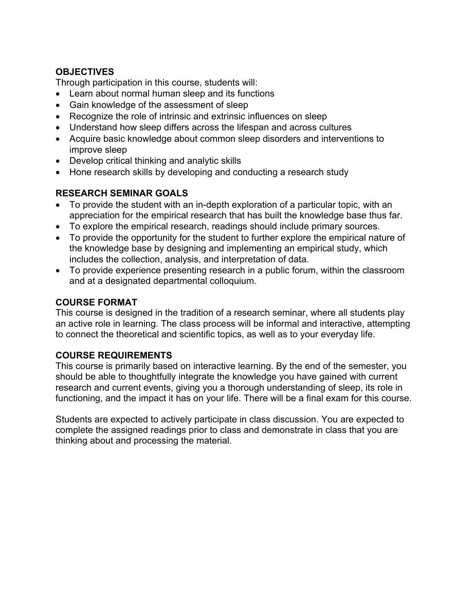## **OBJECTIVES**

Through participation in this course, students will:

- Learn about normal human sleep and its functions
- Gain knowledge of the assessment of sleep
- Recognize the role of intrinsic and extrinsic influences on sleep
- Understand how sleep differs across the lifespan and across cultures
- Acquire basic knowledge about common sleep disorders and interventions to improve sleep
- Develop critical thinking and analytic skills
- Hone research skills by developing and conducting a research study

### **RESEARCH SEMINAR GOALS**

- To provide the student with an in-depth exploration of a particular topic, with an appreciation for the empirical research that has built the knowledge base thus far.
- To explore the empirical research, readings should include primary sources.
- To provide the opportunity for the student to further explore the empirical nature of the knowledge base by designing and implementing an empirical study, which includes the collection, analysis, and interpretation of data.
- To provide experience presenting research in a public forum, within the classroom and at a designated departmental colloquium.

# **COURSE FORMAT**

This course is designed in the tradition of a research seminar, where all students play an active role in learning. The class process will be informal and interactive, attempting to connect the theoretical and scientific topics, as well as to your everyday life.

## **COURSE REQUIREMENTS**

This course is primarily based on interactive learning. By the end of the semester, you should be able to thoughtfully integrate the knowledge you have gained with current research and current events, giving you a thorough understanding of sleep, its role in functioning, and the impact it has on your life. There will be a final exam for this course.

Students are expected to actively participate in class discussion. You are expected to complete the assigned readings prior to class and demonstrate in class that you are thinking about and processing the material.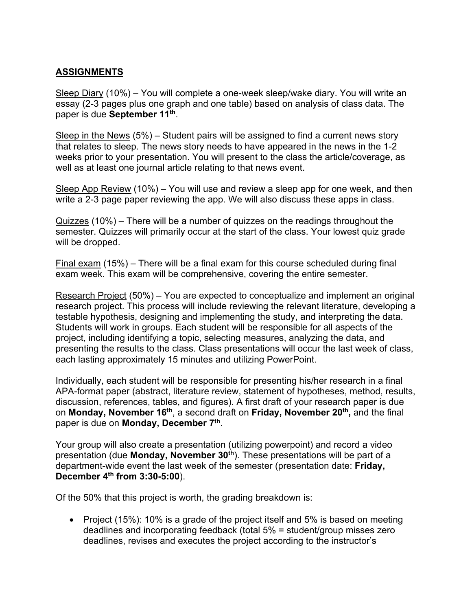# **ASSIGNMENTS**

Sleep Diary (10%) – You will complete a one-week sleep/wake diary. You will write an essay (2-3 pages plus one graph and one table) based on analysis of class data. The paper is due **September 11th**.

Sleep in the News (5%) – Student pairs will be assigned to find a current news story that relates to sleep. The news story needs to have appeared in the news in the 1-2 weeks prior to your presentation. You will present to the class the article/coverage, as well as at least one journal article relating to that news event.

Sleep App Review (10%) – You will use and review a sleep app for one week, and then write a 2-3 page paper reviewing the app. We will also discuss these apps in class.

Quizzes (10%) – There will be a number of quizzes on the readings throughout the semester. Quizzes will primarily occur at the start of the class. Your lowest quiz grade will be dropped.

Final exam (15%) – There will be a final exam for this course scheduled during final exam week. This exam will be comprehensive, covering the entire semester.

Research Project (50%) – You are expected to conceptualize and implement an original research project. This process will include reviewing the relevant literature, developing a testable hypothesis, designing and implementing the study, and interpreting the data. Students will work in groups. Each student will be responsible for all aspects of the project, including identifying a topic, selecting measures, analyzing the data, and presenting the results to the class. Class presentations will occur the last week of class, each lasting approximately 15 minutes and utilizing PowerPoint.

Individually, each student will be responsible for presenting his/her research in a final APA-format paper (abstract, literature review, statement of hypotheses, method, results, discussion, references, tables, and figures). A first draft of your research paper is due on **Monday, November 16th**, a second draft on **Friday, November 20th,** and the final paper is due on **Monday, December 7th**.

Your group will also create a presentation (utilizing powerpoint) and record a video presentation (due **Monday, November 30th**). These presentations will be part of a department-wide event the last week of the semester (presentation date: **Friday, December 4th from 3:30-5:00**).

Of the 50% that this project is worth, the grading breakdown is:

• Project (15%): 10% is a grade of the project itself and 5% is based on meeting deadlines and incorporating feedback (total 5% = student/group misses zero deadlines, revises and executes the project according to the instructor's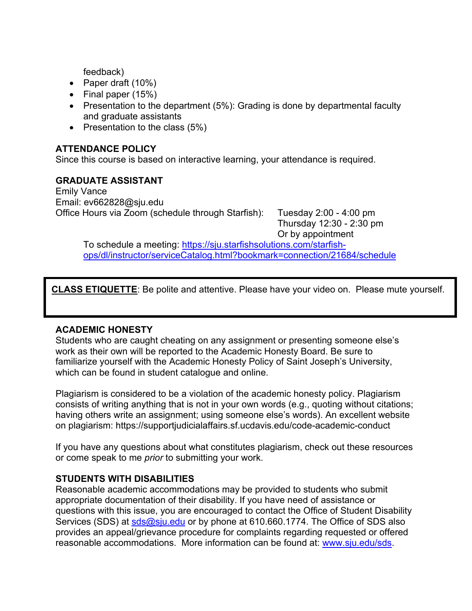feedback)

- Paper draft (10%)
- Final paper (15%)
- Presentation to the department (5%): Grading is done by departmental faculty and graduate assistants
- Presentation to the class (5%)

## **ATTENDANCE POLICY**

Since this course is based on interactive learning, your attendance is required.

### **GRADUATE ASSISTANT**

Emily Vance Email: ev662828@sju.edu Office Hours via Zoom (schedule through Starfish): Tuesday 2:00 - 4:00 pm

Thursday 12:30 - 2:30 pm Or by appointment

To schedule a meeting: https://sju.starfishsolutions.com/starfishops/dl/instructor/serviceCatalog.html?bookmark=connection/21684/schedule

**CLASS ETIQUETTE**: Be polite and attentive. Please have your video on. Please mute yourself.

### **ACADEMIC HONESTY**

Students who are caught cheating on any assignment or presenting someone else's work as their own will be reported to the Academic Honesty Board. Be sure to familiarize yourself with the Academic Honesty Policy of Saint Joseph's University, which can be found in student catalogue and online.

Plagiarism is considered to be a violation of the academic honesty policy. Plagiarism consists of writing anything that is not in your own words (e.g., quoting without citations; having others write an assignment; using someone else's words). An excellent website on plagiarism: https://supportjudicialaffairs.sf.ucdavis.edu/code-academic-conduct

If you have any questions about what constitutes plagiarism, check out these resources or come speak to me *prior* to submitting your work.

### **STUDENTS WITH DISABILITIES**

Reasonable academic accommodations may be provided to students who submit appropriate documentation of their disability. If you have need of assistance or questions with this issue, you are encouraged to contact the Office of Student Disability Services (SDS) at sds@sju.edu or by phone at 610.660.1774. The Office of SDS also provides an appeal/grievance procedure for complaints regarding requested or offered reasonable accommodations. More information can be found at: www.sju.edu/sds.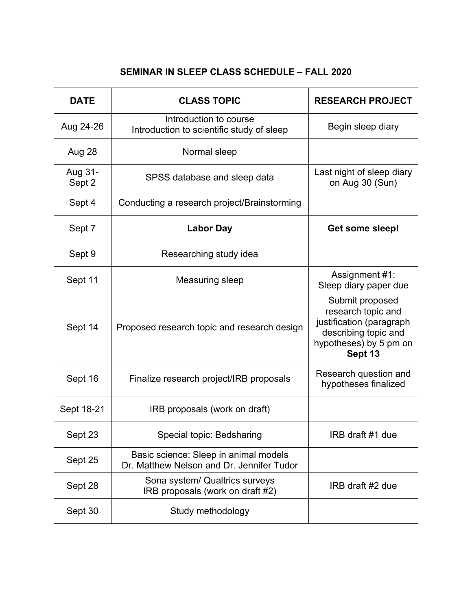# **SEMINAR IN SLEEP CLASS SCHEDULE – FALL 2020**

| <b>DATE</b>       | <b>CLASS TOPIC</b>                                                                 | <b>RESEARCH PROJECT</b>                                                                                                        |
|-------------------|------------------------------------------------------------------------------------|--------------------------------------------------------------------------------------------------------------------------------|
| Aug 24-26         | Introduction to course<br>Introduction to scientific study of sleep                | Begin sleep diary                                                                                                              |
| Aug 28            | Normal sleep                                                                       |                                                                                                                                |
| Aug 31-<br>Sept 2 | SPSS database and sleep data                                                       | Last night of sleep diary<br>on Aug 30 (Sun)                                                                                   |
| Sept 4            | Conducting a research project/Brainstorming                                        |                                                                                                                                |
| Sept 7            | <b>Labor Day</b>                                                                   | Get some sleep!                                                                                                                |
| Sept 9            | Researching study idea                                                             |                                                                                                                                |
| Sept 11           | Measuring sleep                                                                    | Assignment #1:<br>Sleep diary paper due                                                                                        |
| Sept 14           | Proposed research topic and research design                                        | Submit proposed<br>research topic and<br>justification (paragraph<br>describing topic and<br>hypotheses) by 5 pm on<br>Sept 13 |
| Sept 16           | Finalize research project/IRB proposals                                            | Research question and<br>hypotheses finalized                                                                                  |
| Sept 18-21        | IRB proposals (work on draft)                                                      |                                                                                                                                |
| Sept 23           | Special topic: Bedsharing                                                          | IRB draft #1 due                                                                                                               |
| Sept 25           | Basic science: Sleep in animal models<br>Dr. Matthew Nelson and Dr. Jennifer Tudor |                                                                                                                                |
| Sept 28           | Sona system/ Qualtrics surveys<br>IRB proposals (work on draft #2)                 | IRB draft #2 due                                                                                                               |
| Sept 30           | Study methodology                                                                  |                                                                                                                                |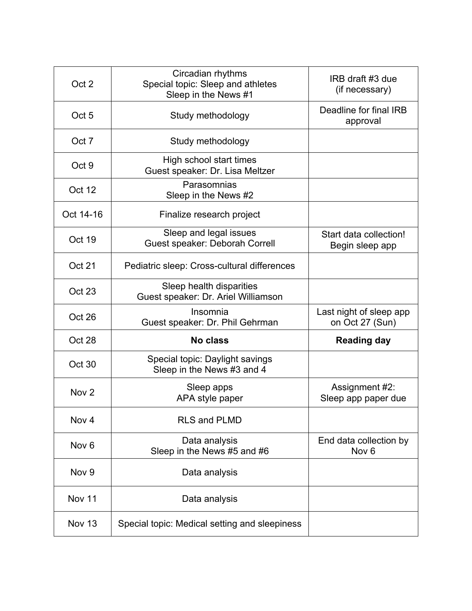| Oct 2            | Circadian rhythms<br>Special topic: Sleep and athletes<br>Sleep in the News #1 | IRB draft #3 due<br>(if necessary)         |
|------------------|--------------------------------------------------------------------------------|--------------------------------------------|
| Oct <sub>5</sub> | Study methodology                                                              | Deadline for final IRB<br>approval         |
| Oct 7            | Study methodology                                                              |                                            |
| Oct 9            | High school start times<br>Guest speaker: Dr. Lisa Meltzer                     |                                            |
| Oct 12           | Parasomnias<br>Sleep in the News #2                                            |                                            |
| Oct 14-16        | Finalize research project                                                      |                                            |
| Oct 19           | Sleep and legal issues<br>Guest speaker: Deborah Correll                       | Start data collection!<br>Begin sleep app  |
| <b>Oct 21</b>    | Pediatric sleep: Cross-cultural differences                                    |                                            |
| Oct 23           | Sleep health disparities<br>Guest speaker: Dr. Ariel Williamson                |                                            |
| Oct 26           | Insomnia<br>Guest speaker: Dr. Phil Gehrman                                    | Last night of sleep app<br>on Oct 27 (Sun) |
| Oct 28           | <b>No class</b>                                                                | <b>Reading day</b>                         |
| Oct 30           | Special topic: Daylight savings<br>Sleep in the News #3 and 4                  |                                            |
| Nov <sub>2</sub> | Sleep apps<br>APA style paper                                                  | Assignment #2:<br>Sleep app paper due      |
| Nov 4            | <b>RLS and PLMD</b>                                                            |                                            |
| Nov <sub>6</sub> | Data analysis<br>Sleep in the News #5 and #6                                   | End data collection by<br>Nov <sub>6</sub> |
| Nov <sub>9</sub> | Data analysis                                                                  |                                            |
| Nov 11           | Data analysis                                                                  |                                            |
| <b>Nov 13</b>    | Special topic: Medical setting and sleepiness                                  |                                            |